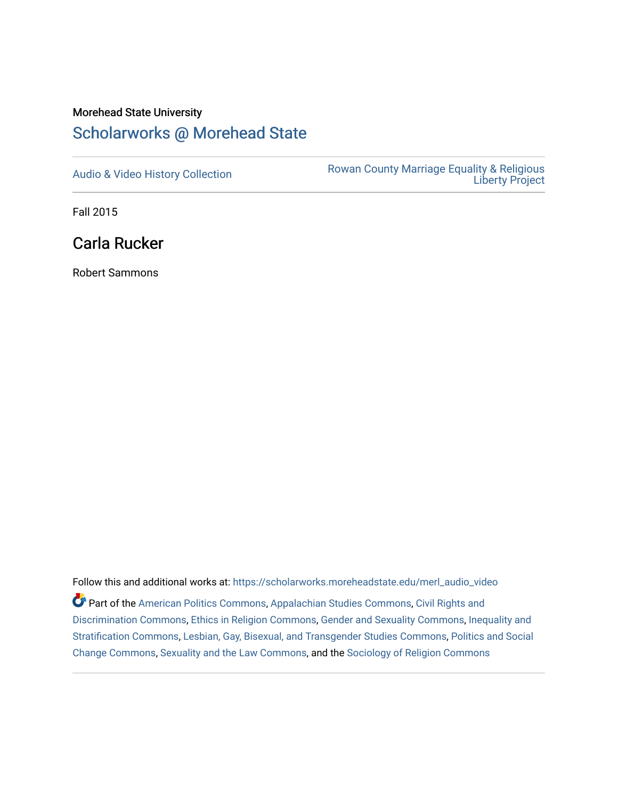## Morehead State University

## [Scholarworks @ Morehead State](https://scholarworks.moreheadstate.edu/)

[Audio & Video History Collection](https://scholarworks.moreheadstate.edu/merl_audio_video) **Rowan County Marriage Equality & Religious** [Liberty Project](https://scholarworks.moreheadstate.edu/merl) 

Fall 2015

Carla Rucker

Robert Sammons

Follow this and additional works at: [https://scholarworks.moreheadstate.edu/merl\\_audio\\_video](https://scholarworks.moreheadstate.edu/merl_audio_video?utm_source=scholarworks.moreheadstate.edu%2Fmerl_audio_video%2F95&utm_medium=PDF&utm_campaign=PDFCoverPages)  Part of the [American Politics Commons,](http://network.bepress.com/hgg/discipline/387?utm_source=scholarworks.moreheadstate.edu%2Fmerl_audio_video%2F95&utm_medium=PDF&utm_campaign=PDFCoverPages) [Appalachian Studies Commons,](http://network.bepress.com/hgg/discipline/1253?utm_source=scholarworks.moreheadstate.edu%2Fmerl_audio_video%2F95&utm_medium=PDF&utm_campaign=PDFCoverPages) [Civil Rights and](http://network.bepress.com/hgg/discipline/585?utm_source=scholarworks.moreheadstate.edu%2Fmerl_audio_video%2F95&utm_medium=PDF&utm_campaign=PDFCoverPages) [Discrimination Commons,](http://network.bepress.com/hgg/discipline/585?utm_source=scholarworks.moreheadstate.edu%2Fmerl_audio_video%2F95&utm_medium=PDF&utm_campaign=PDFCoverPages) [Ethics in Religion Commons,](http://network.bepress.com/hgg/discipline/541?utm_source=scholarworks.moreheadstate.edu%2Fmerl_audio_video%2F95&utm_medium=PDF&utm_campaign=PDFCoverPages) [Gender and Sexuality Commons](http://network.bepress.com/hgg/discipline/420?utm_source=scholarworks.moreheadstate.edu%2Fmerl_audio_video%2F95&utm_medium=PDF&utm_campaign=PDFCoverPages), [Inequality and](http://network.bepress.com/hgg/discipline/421?utm_source=scholarworks.moreheadstate.edu%2Fmerl_audio_video%2F95&utm_medium=PDF&utm_campaign=PDFCoverPages)  [Stratification Commons](http://network.bepress.com/hgg/discipline/421?utm_source=scholarworks.moreheadstate.edu%2Fmerl_audio_video%2F95&utm_medium=PDF&utm_campaign=PDFCoverPages), [Lesbian, Gay, Bisexual, and Transgender Studies Commons,](http://network.bepress.com/hgg/discipline/560?utm_source=scholarworks.moreheadstate.edu%2Fmerl_audio_video%2F95&utm_medium=PDF&utm_campaign=PDFCoverPages) [Politics and Social](http://network.bepress.com/hgg/discipline/425?utm_source=scholarworks.moreheadstate.edu%2Fmerl_audio_video%2F95&utm_medium=PDF&utm_campaign=PDFCoverPages)  [Change Commons](http://network.bepress.com/hgg/discipline/425?utm_source=scholarworks.moreheadstate.edu%2Fmerl_audio_video%2F95&utm_medium=PDF&utm_campaign=PDFCoverPages), [Sexuality and the Law Commons,](http://network.bepress.com/hgg/discipline/877?utm_source=scholarworks.moreheadstate.edu%2Fmerl_audio_video%2F95&utm_medium=PDF&utm_campaign=PDFCoverPages) and the [Sociology of Religion Commons](http://network.bepress.com/hgg/discipline/1365?utm_source=scholarworks.moreheadstate.edu%2Fmerl_audio_video%2F95&utm_medium=PDF&utm_campaign=PDFCoverPages)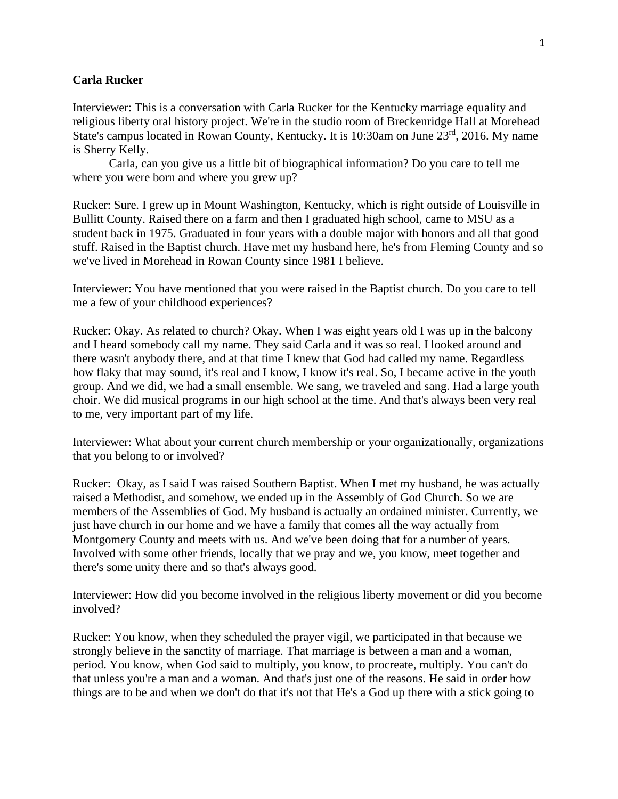## **Carla Rucker**

Interviewer: This is a conversation with Carla Rucker for the Kentucky marriage equality and religious liberty oral history project. We're in the studio room of Breckenridge Hall at Morehead State's campus located in Rowan County, Kentucky. It is 10:30am on June 23<sup>rd</sup>, 2016. My name is Sherry Kelly.

Carla, can you give us a little bit of biographical information? Do you care to tell me where you were born and where you grew up?

Rucker: Sure. I grew up in Mount Washington, Kentucky, which is right outside of Louisville in Bullitt County. Raised there on a farm and then I graduated high school, came to MSU as a student back in 1975. Graduated in four years with a double major with honors and all that good stuff. Raised in the Baptist church. Have met my husband here, he's from Fleming County and so we've lived in Morehead in Rowan County since 1981 I believe.

Interviewer: You have mentioned that you were raised in the Baptist church. Do you care to tell me a few of your childhood experiences?

Rucker: Okay. As related to church? Okay. When I was eight years old I was up in the balcony and I heard somebody call my name. They said Carla and it was so real. I looked around and there wasn't anybody there, and at that time I knew that God had called my name. Regardless how flaky that may sound, it's real and I know, I know it's real. So, I became active in the youth group. And we did, we had a small ensemble. We sang, we traveled and sang. Had a large youth choir. We did musical programs in our high school at the time. And that's always been very real to me, very important part of my life.

Interviewer: What about your current church membership or your organizationally, organizations that you belong to or involved?

Rucker: Okay, as I said I was raised Southern Baptist. When I met my husband, he was actually raised a Methodist, and somehow, we ended up in the Assembly of God Church. So we are members of the Assemblies of God. My husband is actually an ordained minister. Currently, we just have church in our home and we have a family that comes all the way actually from Montgomery County and meets with us. And we've been doing that for a number of years. Involved with some other friends, locally that we pray and we, you know, meet together and there's some unity there and so that's always good.

Interviewer: How did you become involved in the religious liberty movement or did you become involved?

Rucker: You know, when they scheduled the prayer vigil, we participated in that because we strongly believe in the sanctity of marriage. That marriage is between a man and a woman, period. You know, when God said to multiply, you know, to procreate, multiply. You can't do that unless you're a man and a woman. And that's just one of the reasons. He said in order how things are to be and when we don't do that it's not that He's a God up there with a stick going to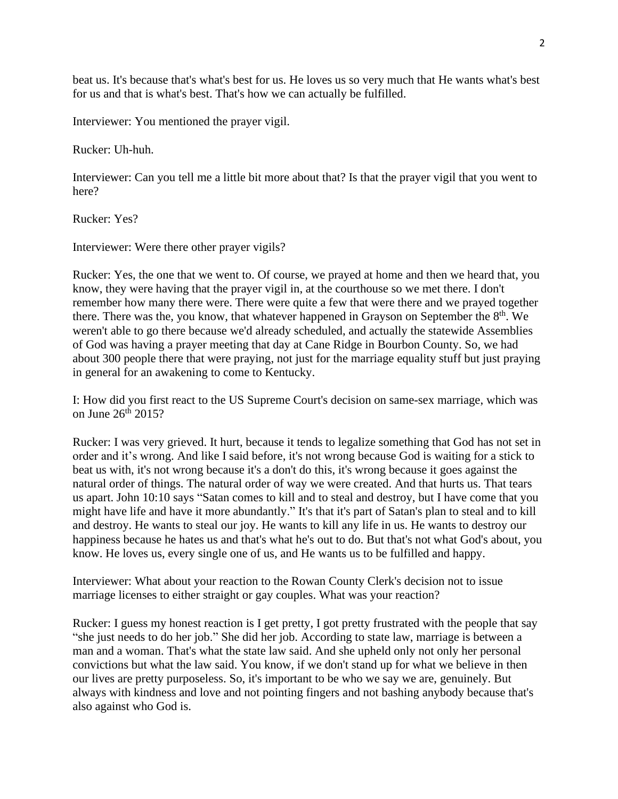beat us. It's because that's what's best for us. He loves us so very much that He wants what's best for us and that is what's best. That's how we can actually be fulfilled.

Interviewer: You mentioned the prayer vigil.

Rucker: Uh-huh.

Interviewer: Can you tell me a little bit more about that? Is that the prayer vigil that you went to here?

Rucker: Yes?

Interviewer: Were there other prayer vigils?

Rucker: Yes, the one that we went to. Of course, we prayed at home and then we heard that, you know, they were having that the prayer vigil in, at the courthouse so we met there. I don't remember how many there were. There were quite a few that were there and we prayed together there. There was the, you know, that whatever happened in Grayson on September the  $8<sup>th</sup>$ . We weren't able to go there because we'd already scheduled, and actually the statewide Assemblies of God was having a prayer meeting that day at Cane Ridge in Bourbon County. So, we had about 300 people there that were praying, not just for the marriage equality stuff but just praying in general for an awakening to come to Kentucky.

I: How did you first react to the US Supreme Court's decision on same-sex marriage, which was on June 26<sup>th</sup> 2015?

Rucker: I was very grieved. It hurt, because it tends to legalize something that God has not set in order and it's wrong. And like I said before, it's not wrong because God is waiting for a stick to beat us with, it's not wrong because it's a don't do this, it's wrong because it goes against the natural order of things. The natural order of way we were created. And that hurts us. That tears us apart. John 10:10 says "Satan comes to kill and to steal and destroy, but I have come that you might have life and have it more abundantly." It's that it's part of Satan's plan to steal and to kill and destroy. He wants to steal our joy. He wants to kill any life in us. He wants to destroy our happiness because he hates us and that's what he's out to do. But that's not what God's about, you know. He loves us, every single one of us, and He wants us to be fulfilled and happy.

Interviewer: What about your reaction to the Rowan County Clerk's decision not to issue marriage licenses to either straight or gay couples. What was your reaction?

Rucker: I guess my honest reaction is I get pretty, I got pretty frustrated with the people that say "she just needs to do her job." She did her job. According to state law, marriage is between a man and a woman. That's what the state law said. And she upheld only not only her personal convictions but what the law said. You know, if we don't stand up for what we believe in then our lives are pretty purposeless. So, it's important to be who we say we are, genuinely. But always with kindness and love and not pointing fingers and not bashing anybody because that's also against who God is.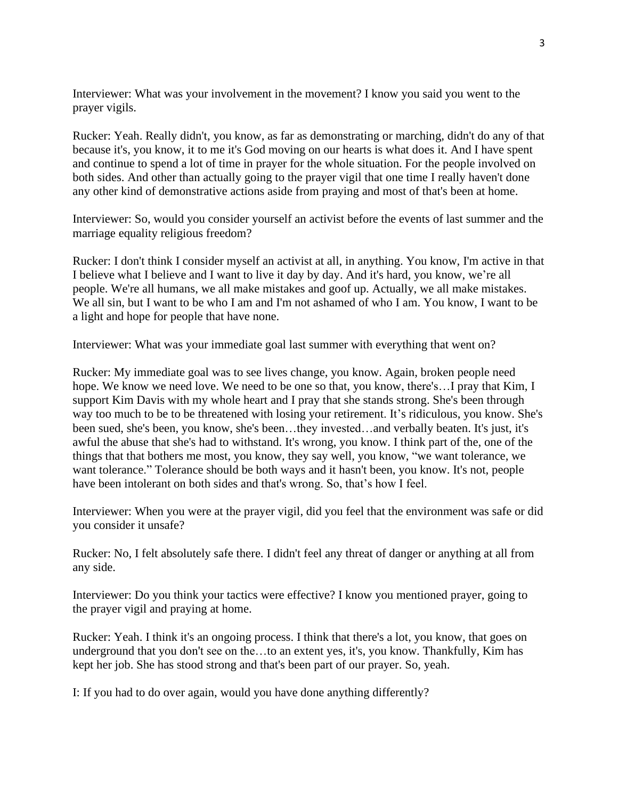Interviewer: What was your involvement in the movement? I know you said you went to the prayer vigils.

Rucker: Yeah. Really didn't, you know, as far as demonstrating or marching, didn't do any of that because it's, you know, it to me it's God moving on our hearts is what does it. And I have spent and continue to spend a lot of time in prayer for the whole situation. For the people involved on both sides. And other than actually going to the prayer vigil that one time I really haven't done any other kind of demonstrative actions aside from praying and most of that's been at home.

Interviewer: So, would you consider yourself an activist before the events of last summer and the marriage equality religious freedom?

Rucker: I don't think I consider myself an activist at all, in anything. You know, I'm active in that I believe what I believe and I want to live it day by day. And it's hard, you know, we're all people. We're all humans, we all make mistakes and goof up. Actually, we all make mistakes. We all sin, but I want to be who I am and I'm not ashamed of who I am. You know, I want to be a light and hope for people that have none.

Interviewer: What was your immediate goal last summer with everything that went on?

Rucker: My immediate goal was to see lives change, you know. Again, broken people need hope. We know we need love. We need to be one so that, you know, there's…I pray that Kim, I support Kim Davis with my whole heart and I pray that she stands strong. She's been through way too much to be to be threatened with losing your retirement. It's ridiculous, you know. She's been sued, she's been, you know, she's been…they invested…and verbally beaten. It's just, it's awful the abuse that she's had to withstand. It's wrong, you know. I think part of the, one of the things that that bothers me most, you know, they say well, you know, "we want tolerance, we want tolerance." Tolerance should be both ways and it hasn't been, you know. It's not, people have been intolerant on both sides and that's wrong. So, that's how I feel.

Interviewer: When you were at the prayer vigil, did you feel that the environment was safe or did you consider it unsafe?

Rucker: No, I felt absolutely safe there. I didn't feel any threat of danger or anything at all from any side.

Interviewer: Do you think your tactics were effective? I know you mentioned prayer, going to the prayer vigil and praying at home.

Rucker: Yeah. I think it's an ongoing process. I think that there's a lot, you know, that goes on underground that you don't see on the…to an extent yes, it's, you know. Thankfully, Kim has kept her job. She has stood strong and that's been part of our prayer. So, yeah.

I: If you had to do over again, would you have done anything differently?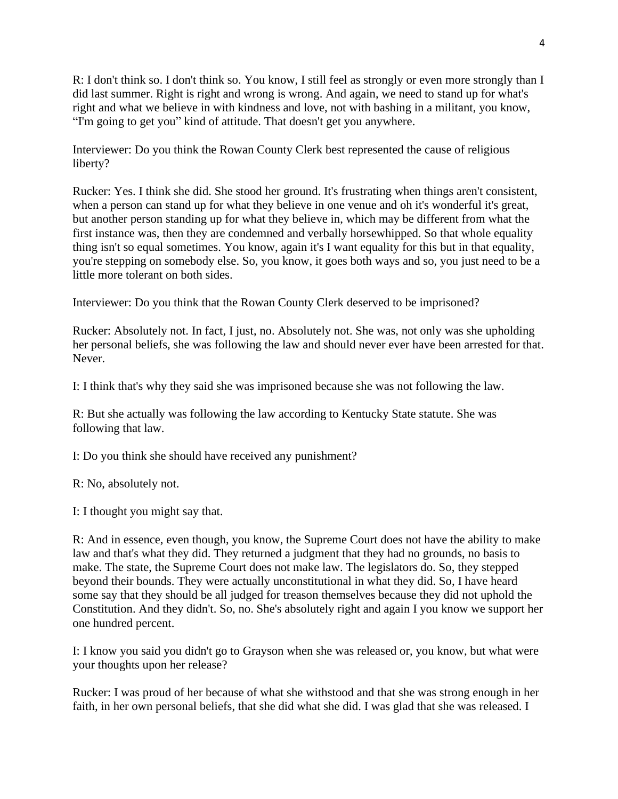R: I don't think so. I don't think so. You know, I still feel as strongly or even more strongly than I did last summer. Right is right and wrong is wrong. And again, we need to stand up for what's right and what we believe in with kindness and love, not with bashing in a militant, you know, "I'm going to get you" kind of attitude. That doesn't get you anywhere.

Interviewer: Do you think the Rowan County Clerk best represented the cause of religious liberty?

Rucker: Yes. I think she did. She stood her ground. It's frustrating when things aren't consistent, when a person can stand up for what they believe in one venue and oh it's wonderful it's great, but another person standing up for what they believe in, which may be different from what the first instance was, then they are condemned and verbally horsewhipped. So that whole equality thing isn't so equal sometimes. You know, again it's I want equality for this but in that equality, you're stepping on somebody else. So, you know, it goes both ways and so, you just need to be a little more tolerant on both sides.

Interviewer: Do you think that the Rowan County Clerk deserved to be imprisoned?

Rucker: Absolutely not. In fact, I just, no. Absolutely not. She was, not only was she upholding her personal beliefs, she was following the law and should never ever have been arrested for that. Never.

I: I think that's why they said she was imprisoned because she was not following the law.

R: But she actually was following the law according to Kentucky State statute. She was following that law.

I: Do you think she should have received any punishment?

R: No, absolutely not.

I: I thought you might say that.

R: And in essence, even though, you know, the Supreme Court does not have the ability to make law and that's what they did. They returned a judgment that they had no grounds, no basis to make. The state, the Supreme Court does not make law. The legislators do. So, they stepped beyond their bounds. They were actually unconstitutional in what they did. So, I have heard some say that they should be all judged for treason themselves because they did not uphold the Constitution. And they didn't. So, no. She's absolutely right and again I you know we support her one hundred percent.

I: I know you said you didn't go to Grayson when she was released or, you know, but what were your thoughts upon her release?

Rucker: I was proud of her because of what she withstood and that she was strong enough in her faith, in her own personal beliefs, that she did what she did. I was glad that she was released. I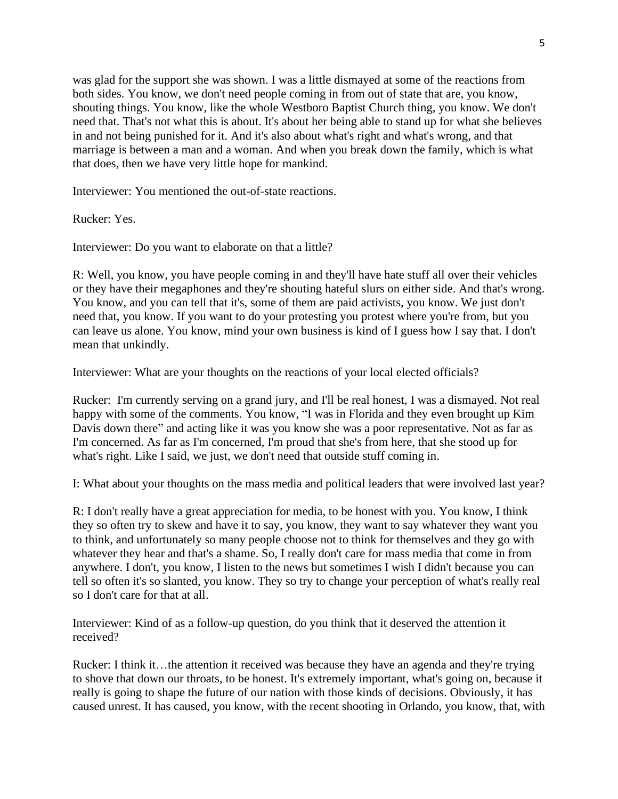was glad for the support she was shown. I was a little dismayed at some of the reactions from both sides. You know, we don't need people coming in from out of state that are, you know, shouting things. You know, like the whole Westboro Baptist Church thing, you know. We don't need that. That's not what this is about. It's about her being able to stand up for what she believes in and not being punished for it. And it's also about what's right and what's wrong, and that marriage is between a man and a woman. And when you break down the family, which is what that does, then we have very little hope for mankind.

Interviewer: You mentioned the out-of-state reactions.

Rucker: Yes.

Interviewer: Do you want to elaborate on that a little?

R: Well, you know, you have people coming in and they'll have hate stuff all over their vehicles or they have their megaphones and they're shouting hateful slurs on either side. And that's wrong. You know, and you can tell that it's, some of them are paid activists, you know. We just don't need that, you know. If you want to do your protesting you protest where you're from, but you can leave us alone. You know, mind your own business is kind of I guess how I say that. I don't mean that unkindly.

Interviewer: What are your thoughts on the reactions of your local elected officials?

Rucker: I'm currently serving on a grand jury, and I'll be real honest, I was a dismayed. Not real happy with some of the comments. You know, "I was in Florida and they even brought up Kim Davis down there" and acting like it was you know she was a poor representative. Not as far as I'm concerned. As far as I'm concerned, I'm proud that she's from here, that she stood up for what's right. Like I said, we just, we don't need that outside stuff coming in.

I: What about your thoughts on the mass media and political leaders that were involved last year?

R: I don't really have a great appreciation for media, to be honest with you. You know, I think they so often try to skew and have it to say, you know, they want to say whatever they want you to think, and unfortunately so many people choose not to think for themselves and they go with whatever they hear and that's a shame. So, I really don't care for mass media that come in from anywhere. I don't, you know, I listen to the news but sometimes I wish I didn't because you can tell so often it's so slanted, you know. They so try to change your perception of what's really real so I don't care for that at all.

Interviewer: Kind of as a follow-up question, do you think that it deserved the attention it received?

Rucker: I think it…the attention it received was because they have an agenda and they're trying to shove that down our throats, to be honest. It's extremely important, what's going on, because it really is going to shape the future of our nation with those kinds of decisions. Obviously, it has caused unrest. It has caused, you know, with the recent shooting in Orlando, you know, that, with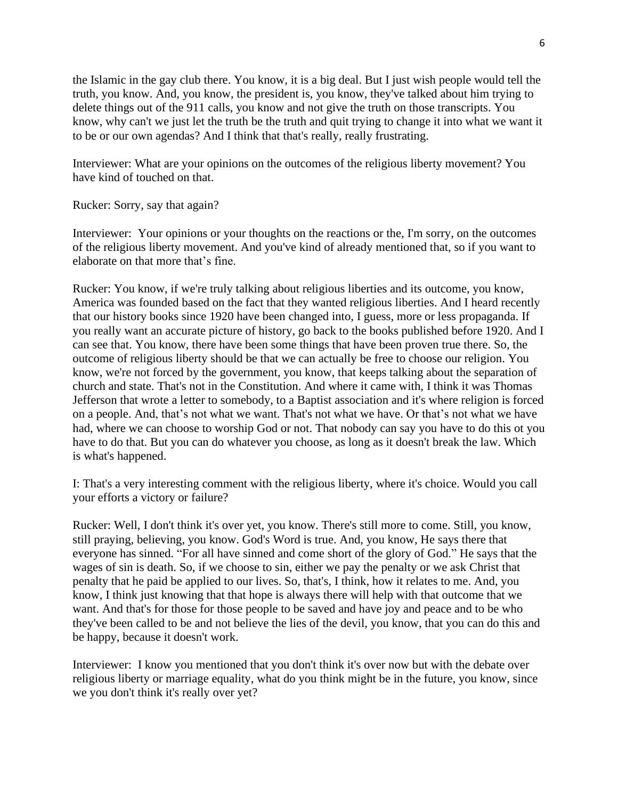the Islamic in the gay club there. You know, it is a big deal. But I just wish people would tell the truth, you know. And, you know, the president is, you know, they've talked about him trying to delete things out of the 911 calls, you know and not give the truth on those transcripts. You know, why can't we just let the truth be the truth and quit trying to change it into what we want it to be or our own agendas? And I think that that's really, really frustrating.

Interviewer: What are your opinions on the outcomes of the religious liberty movement? You have kind of touched on that.

Rucker: Sorry, say that again?

Interviewer: Your opinions or your thoughts on the reactions or the, I'm sorry, on the outcomes of the religious liberty movement. And you've kind of already mentioned that, so if you want to elaborate on that more that's fine.

Rucker: You know, if we're truly talking about religious liberties and its outcome, you know, America was founded based on the fact that they wanted religious liberties. And I heard recently that our history books since 1920 have been changed into, I guess, more or less propaganda. If you really want an accurate picture of history, go back to the books published before 1920. And I can see that. You know, there have been some things that have been proven true there. So, the outcome of religious liberty should be that we can actually be free to choose our religion. You know, we're not forced by the government, you know, that keeps talking about the separation of church and state. That's not in the Constitution. And where it came with, I think it was Thomas Jefferson that wrote a letter to somebody, to a Baptist association and it's where religion is forced on a people. And, that's not what we want. That's not what we have. Or that's not what we have had, where we can choose to worship God or not. That nobody can say you have to do this ot you have to do that. But you can do whatever you choose, as long as it doesn't break the law. Which is what's happened.

I: That's a very interesting comment with the religious liberty, where it's choice. Would you call your efforts a victory or failure?

Rucker: Well, I don't think it's over yet, you know. There's still more to come. Still, you know, still praying, believing, you know. God's Word is true. And, you know, He says there that everyone has sinned. "For all have sinned and come short of the glory of God." He says that the wages of sin is death. So, if we choose to sin, either we pay the penalty or we ask Christ that penalty that he paid be applied to our lives. So, that's, I think, how it relates to me. And, you know, I think just knowing that that hope is always there will help with that outcome that we want. And that's for those for those people to be saved and have joy and peace and to be who they've been called to be and not believe the lies of the devil, you know, that you can do this and be happy, because it doesn't work.

Interviewer: I know you mentioned that you don't think it's over now but with the debate over religious liberty or marriage equality, what do you think might be in the future, you know, since we you don't think it's really over yet?